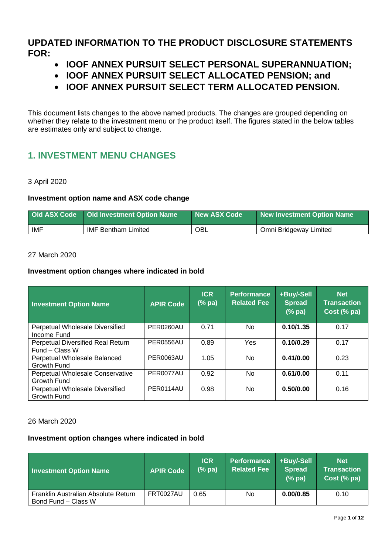**UPDATED INFORMATION TO THE PRODUCT DISCLOSURE STATEMENTS FOR:**

- **IOOF ANNEX PURSUIT SELECT PERSONAL SUPERANNUATION;**
- **IOOF ANNEX PURSUIT SELECT ALLOCATED PENSION; and**
- **IOOF ANNEX PURSUIT SELECT TERM ALLOCATED PENSION.**

This document lists changes to the above named products. The changes are grouped depending on whether they relate to the investment menu or the product itself. The figures stated in the below tables are estimates only and subject to change.

# **1. INVESTMENT MENU CHANGES**

### 3 April 2020

### **Investment option name and ASX code change**

|            | Old ASX Code   Old Investment Option Name | New ASX Code | New Investment Option Name |
|------------|-------------------------------------------|--------------|----------------------------|
| <b>IMF</b> | <b>IMF Bentham Limited</b>                | OBL          | Omni Bridgeway Limited     |

### 27 March 2020

### **Investment option changes where indicated in bold**

| <b>Investment Option Name</b>                       | <b>APIR Code</b> | <b>ICR</b><br>$(%$ pa) | <b>Performance</b><br><b>Related Fee</b> | +Buy/-Sell<br><b>Spread</b><br>(%pa) | <b>Net</b><br><b>Transaction</b><br>Cost (% pa) |
|-----------------------------------------------------|------------------|------------------------|------------------------------------------|--------------------------------------|-------------------------------------------------|
| Perpetual Wholesale Diversified<br>Income Fund      | PER0260AU        | 0.71                   | No                                       | 0.10/1.35                            | 0.17                                            |
| Perpetual Diversified Real Return<br>Fund - Class W | PER0556AU        | 0.89                   | Yes                                      | 0.10/0.29                            | 0.17                                            |
| Perpetual Wholesale Balanced<br><b>Growth Fund</b>  | <b>PER0063AU</b> | 1.05                   | <b>No</b>                                | 0.41/0.00                            | 0.23                                            |
| Perpetual Wholesale Conservative<br>Growth Fund     | PER0077AU        | 0.92                   | No                                       | 0.61/0.00                            | 0.11                                            |
| Perpetual Wholesale Diversified<br>Growth Fund      | PER0114AU        | 0.98                   | No                                       | 0.50/0.00                            | 0.16                                            |

### 26 March 2020

| <b>Investment Option Name</b>                              | <b>APIR Code</b> | <b>ICR</b><br>$(%$ pa) | Performance<br><b>Related Fee</b> | +Buy/-Sell<br><b>Spread</b><br>(%pa) | <b>Net</b><br><b>Transaction</b><br>Cost (% pa) |
|------------------------------------------------------------|------------------|------------------------|-----------------------------------|--------------------------------------|-------------------------------------------------|
| Franklin Australian Absolute Return<br>Bond Fund - Class W | <b>FRT0027AU</b> | 0.65                   | No.                               | 0.00/0.85                            | 0.10                                            |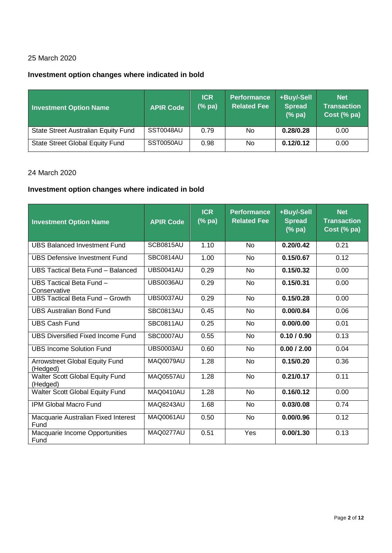# **Investment option changes where indicated in bold**

| <b>Investment Option Name</b>          | <b>APIR Code</b> | <b>ICR</b><br>$(%$ pa) | <b>Performance</b><br><b>Related Fee</b> | +Buy/-Sell<br><b>Spread</b><br>(%pa) | <b>Net</b><br><b>Transaction</b><br>Cost (% pa) |
|----------------------------------------|------------------|------------------------|------------------------------------------|--------------------------------------|-------------------------------------------------|
| State Street Australian Equity Fund    | SST0048AU        | 0.79                   | No.                                      | 0.28/0.28                            | 0.00                                            |
| <b>State Street Global Equity Fund</b> | SST0050AU        | 0.98                   | No.                                      | 0.12/0.12                            | 0.00                                            |

### 24 March 2020

| <b>Investment Option Name</b>               | <b>APIR Code</b> | <b>ICR</b><br>$(% \mathbf{a})$ (% pa) | <b>Performance</b><br><b>Related Fee</b> | +Buy/-Sell<br><b>Spread</b><br>$(% \mathbf{a})$ $($ $\%$ pa) | <b>Net</b><br><b>Transaction</b><br>Cost (% pa) |
|---------------------------------------------|------------------|---------------------------------------|------------------------------------------|--------------------------------------------------------------|-------------------------------------------------|
| <b>UBS Balanced Investment Fund</b>         | SCB0815AU        | 1.10                                  | N <sub>o</sub>                           | 0.20/0.42                                                    | 0.21                                            |
| UBS Defensive Investment Fund               | SBC0814AU        | 1.00                                  | <b>No</b>                                | 0.15/0.67                                                    | 0.12                                            |
| UBS Tactical Beta Fund - Balanced           | <b>UBS0041AU</b> | 0.29                                  | <b>No</b>                                | 0.15/0.32                                                    | 0.00                                            |
| UBS Tactical Beta Fund -<br>Conservative    | <b>UBS0036AU</b> | 0.29                                  | <b>No</b>                                | 0.15/0.31                                                    | 0.00                                            |
| UBS Tactical Beta Fund - Growth             | <b>UBS0037AU</b> | 0.29                                  | No                                       | 0.15/0.28                                                    | 0.00                                            |
| <b>UBS Australian Bond Fund</b>             | SBC0813AU        | 0.45                                  | <b>No</b>                                | 0.00/0.84                                                    | 0.06                                            |
| <b>UBS Cash Fund</b>                        | <b>SBC0811AU</b> | 0.25                                  | N <sub>o</sub>                           | 0.00/0.00                                                    | 0.01                                            |
| <b>UBS Diversified Fixed Income Fund</b>    | SBC0007AU        | 0.55                                  | <b>No</b>                                | 0.10 / 0.90                                                  | 0.13                                            |
| <b>UBS Income Solution Fund</b>             | <b>UBS0003AU</b> | 0.60                                  | <b>No</b>                                | 0.00 / 2.00                                                  | 0.04                                            |
| Arrowstreet Global Equity Fund<br>(Hedged)  | MAQ0079AU        | 1.28                                  | <b>No</b>                                | 0.15/0.20                                                    | 0.36                                            |
| Walter Scott Global Equity Fund<br>(Hedged) | <b>MAQ0557AU</b> | 1.28                                  | <b>No</b>                                | 0.21/0.17                                                    | 0.11                                            |
| Walter Scott Global Equity Fund             | MAQ0410AU        | 1.28                                  | <b>No</b>                                | 0.16/0.12                                                    | 0.00                                            |
| <b>IPM Global Macro Fund</b>                | <b>MAQ8243AU</b> | 1.68                                  | N <sub>o</sub>                           | 0.03/0.08                                                    | 0.74                                            |
| Macquarie Australian Fixed Interest<br>Fund | MAQ0061AU        | 0.50                                  | N <sub>o</sub>                           | 0.00/0.96                                                    | 0.12                                            |
| Macquarie Income Opportunities<br>Fund      | MAQ0277AU        | 0.51                                  | Yes                                      | 0.00/1.30                                                    | 0.13                                            |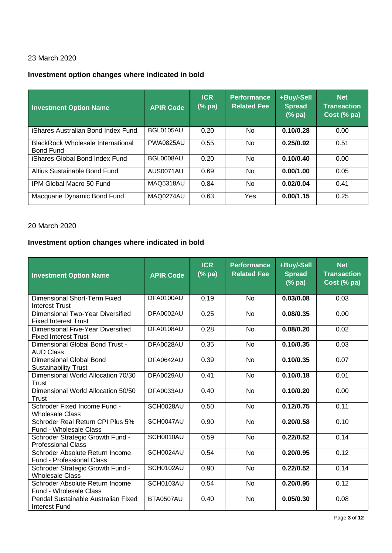# **Investment option changes where indicated in bold**

| <b>Investment Option Name</b>                                | <b>APIR Code</b> | <b>ICR</b><br>$(\%$ pa) | <b>Performance</b><br><b>Related Fee</b> | +Buy/-Sell<br><b>Spread</b><br>(% pa) | <b>Net</b><br><b>Transaction</b><br>Cost (% pa) |
|--------------------------------------------------------------|------------------|-------------------------|------------------------------------------|---------------------------------------|-------------------------------------------------|
| iShares Australian Bond Index Fund                           | BGL0105AU        | 0.20                    | No.                                      | 0.10/0.28                             | 0.00                                            |
| <b>BlackRock Wholesale International</b><br><b>Bond Fund</b> | <b>PWA0825AU</b> | 0.55                    | No.                                      | 0.25/0.92                             | 0.51                                            |
| iShares Global Bond Index Fund                               | BGL0008AU        | 0.20                    | No.                                      | 0.10/0.40                             | 0.00                                            |
| Altius Sustainable Bond Fund                                 | AUS0071AU        | 0.69                    | No.                                      | 0.00/1.00                             | 0.05                                            |
| IPM Global Macro 50 Fund                                     | <b>MAQ5318AU</b> | 0.84                    | No.                                      | 0.02/0.04                             | 0.41                                            |
| Macquarie Dynamic Bond Fund                                  | MAQ0274AU        | 0.63                    | Yes                                      | 0.00/1.15                             | 0.25                                            |

#### 20 March 2020

| <b>Investment Option Name</b>                                    | <b>APIR Code</b> | <b>ICR</b><br>(% pa) | <b>Performance</b><br><b>Related Fee</b> | +Buy/-Sell<br><b>Spread</b><br>(%pa) | <b>Net</b><br><b>Transaction</b><br>Cost (% pa) |
|------------------------------------------------------------------|------------------|----------------------|------------------------------------------|--------------------------------------|-------------------------------------------------|
| Dimensional Short-Term Fixed<br><b>Interest Trust</b>            | DFA0100AU        | 0.19                 | <b>No</b>                                | 0.03/0.08                            | 0.03                                            |
| Dimensional Two-Year Diversified<br><b>Fixed Interest Trust</b>  | DFA0002AU        | 0.25                 | <b>No</b>                                | 0.08/0.35                            | 0.00                                            |
| Dimensional Five-Year Diversified<br><b>Fixed Interest Trust</b> | DFA0108AU        | 0.28                 | <b>No</b>                                | 0.08/0.20                            | 0.02                                            |
| Dimensional Global Bond Trust -<br><b>AUD Class</b>              | DFA0028AU        | 0.35                 | <b>No</b>                                | 0.10/0.35                            | 0.03                                            |
| Dimensional Global Bond<br><b>Sustainability Trust</b>           | DFA0642AU        | 0.39                 | <b>No</b>                                | 0.10/0.35                            | 0.07                                            |
| Dimensional World Allocation 70/30<br>Trust                      | DFA0029AU        | 0.41                 | <b>No</b>                                | 0.10/0.18                            | 0.01                                            |
| Dimensional World Allocation 50/50<br><b>Trust</b>               | DFA0033AU        | 0.40                 | <b>No</b>                                | 0.10/0.20                            | 0.00                                            |
| Schroder Fixed Income Fund -<br><b>Wholesale Class</b>           | SCH0028AU        | 0.50                 | <b>No</b>                                | 0.12/0.75                            | 0.11                                            |
| Schroder Real Return CPI Plus 5%<br>Fund - Wholesale Class       | SCH0047AU        | 0.90                 | <b>No</b>                                | 0.20/0.58                            | 0.10                                            |
| Schroder Strategic Growth Fund -<br><b>Professional Class</b>    | SCH0010AU        | 0.59                 | <b>No</b>                                | 0.22/0.52                            | 0.14                                            |
| Schroder Absolute Return Income<br>Fund - Professional Class     | SCH0024AU        | 0.54                 | <b>No</b>                                | 0.20/0.95                            | 0.12                                            |
| Schroder Strategic Growth Fund -<br><b>Wholesale Class</b>       | SCH0102AU        | 0.90                 | <b>No</b>                                | 0.22/0.52                            | 0.14                                            |
| Schroder Absolute Return Income<br>Fund - Wholesale Class        | SCH0103AU        | 0.54                 | <b>No</b>                                | 0.20/0.95                            | 0.12                                            |
| Pendal Sustainable Australian Fixed<br>Interest Fund             | BTA0507AU        | 0.40                 | <b>No</b>                                | 0.05/0.30                            | 0.08                                            |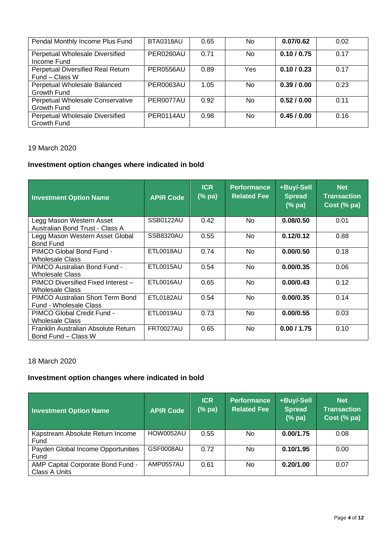| Pendal Monthly Income Plus Fund                     | BTA0318AU        | 0.65 | No.            | 0.07/0.62   | 0.02 |
|-----------------------------------------------------|------------------|------|----------------|-------------|------|
| Perpetual Wholesale Diversified<br>Income Fund      | PER0260AU        | 0.71 | N <sub>o</sub> | 0.10 / 0.75 | 0.17 |
| Perpetual Diversified Real Return<br>Fund – Class W | <b>PER0556AU</b> | 0.89 | Yes            | 0.10 / 0.23 | 0.17 |
| Perpetual Wholesale Balanced<br>Growth Fund         | PER0063AU        | 1.05 | No             | 0.39/0.00   | 0.23 |
| Perpetual Wholesale Conservative<br>Growth Fund     | PER0077AU        | 0.92 | <b>No</b>      | 0.52/0.00   | 0.11 |
| Perpetual Wholesale Diversified<br>Growth Fund      | PER0114AU        | 0.98 | No.            | 0.45/0.00   | 0.16 |

# **Investment option changes where indicated in bold**

| <b>Investment Option Name</b>                               | <b>APIR Code</b> | <b>ICR</b><br>$(\%$ pa) | <b>Performance</b><br><b>Related Fee</b> | +Buy/-Sell<br><b>Spread</b><br>(% pa) | <b>Net</b><br><b>Transaction</b><br>Cost (% pa) |
|-------------------------------------------------------------|------------------|-------------------------|------------------------------------------|---------------------------------------|-------------------------------------------------|
| Legg Mason Western Asset<br>Australian Bond Trust - Class A | SSB0122AU        | 0.42                    | <b>No</b>                                | 0.08/0.50                             | 0.01                                            |
| Legg Mason Western Asset Global<br><b>Bond Fund</b>         | <b>SSB8320AU</b> | 0.55                    | <b>No</b>                                | 0.12/0.12                             | 0.88                                            |
| PIMCO Global Bond Fund -<br>Wholesale Class                 | ETL0018AU        | 0.74                    | N <sub>o</sub>                           | 0.00/0.50                             | 0.18                                            |
| PIMCO Australian Bond Fund -<br>Wholesale Class             | ETL0015AU        | 0.54                    | <b>No</b>                                | 0.00/0.35                             | 0.06                                            |
| PIMCO Diversified Fixed Interest -<br>Wholesale Class       | ETL0016AU        | 0.65                    | N <sub>o</sub>                           | 0.00/0.43                             | 0.12                                            |
| PIMCO Australian Short Term Bond<br>Fund - Wholesale Class  | ETL0182AU        | 0.54                    | <b>No</b>                                | 0.00/0.35                             | 0.14                                            |
| PIMCO Global Credit Fund -<br>Wholesale Class               | ETL0019AU        | 0.73                    | <b>No</b>                                | 0.00/0.55                             | 0.03                                            |
| Franklin Australian Absolute Return<br>Bond Fund – Class W  | <b>FRT0027AU</b> | 0.65                    | <b>No</b>                                | 0.00 / 1.75                           | 0.10                                            |

### 18 March 2020

| <b>Investment Option Name</b>                      | <b>APIR Code</b> | <b>ICR</b><br>$(% \mathbf{a})$ (% pa) | <b>Performance</b><br><b>Related Fee</b> | +Buy/-Sell<br><b>Spread</b><br>(%pa) | <b>Net</b><br><b>Transaction</b><br>Cost (% pa) |
|----------------------------------------------------|------------------|---------------------------------------|------------------------------------------|--------------------------------------|-------------------------------------------------|
| Kapstream Absolute Return Income<br>Fund           | <b>HOW0052AU</b> | 0.55                                  | No                                       | 0.00/1.75                            | 0.08                                            |
| Payden Global Income Opportunities<br>Fund         | GSF0008AU        | 0.72                                  | <b>No</b>                                | 0.10/1.95                            | 0.00                                            |
| AMP Capital Corporate Bond Fund -<br>Class A Units | AMP0557AU        | 0.61                                  | <b>No</b>                                | 0.20/1.00                            | 0.07                                            |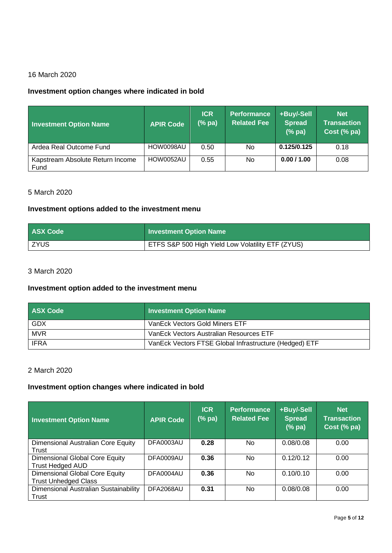# **Investment option changes where indicated in bold**

| <b>Investment Option Name</b>            | <b>APIR Code</b> | <b>ICR</b><br>$(%$ $\mathbf{p}$ $\mathbf{a})$ | <b>Performance</b><br><b>Related Fee</b> | +Buy/-Sell<br><b>Spread</b><br>(%pa) | <b>Net</b><br><b>Transaction</b><br>Cost (% pa) |
|------------------------------------------|------------------|-----------------------------------------------|------------------------------------------|--------------------------------------|-------------------------------------------------|
| Ardea Real Outcome Fund                  | HOW0098AU        | 0.50                                          | <b>No</b>                                | 0.125/0.125                          | 0.18                                            |
| Kapstream Absolute Return Income<br>Fund | HOW0052AU        | 0.55                                          | <b>No</b>                                | 0.00 / 1.00                          | 0.08                                            |

#### 5 March 2020

#### **Investment options added to the investment menu**

| <b>ASX Code</b> | Investment Option Name                            |
|-----------------|---------------------------------------------------|
| <b>ZYUS</b>     | ETFS S&P 500 High Yield Low Volatility ETF (ZYUS) |

### 3 March 2020

#### **Investment option added to the investment menu**

| <b>ASX Code</b> | <b>Investment Option Name</b>                          |
|-----------------|--------------------------------------------------------|
| GDX             | VanEck Vectors Gold Miners ETF                         |
| <b>MVR</b>      | VanEck Vectors Australian Resources ETF                |
| <b>IFRA</b>     | VanEck Vectors FTSE Global Infrastructure (Hedged) ETF |

### 2 March 2020

| <b>Investment Option Name</b>                                 | <b>APIR Code</b> | <b>ICR</b><br>$(%$ pa) | <b>Performance</b><br><b>Related Fee</b> | +Buy/-Sell<br><b>Spread</b><br>$(%$ pa) | <b>Net</b><br><b>Transaction</b><br>Cost (% pa) |
|---------------------------------------------------------------|------------------|------------------------|------------------------------------------|-----------------------------------------|-------------------------------------------------|
| Dimensional Australian Core Equity<br>Trust                   | DFA0003AU        | 0.28                   | No                                       | 0.08/0.08                               | 0.00                                            |
| Dimensional Global Core Equity<br><b>Trust Hedged AUD</b>     | DFA0009AU        | 0.36                   | <b>No</b>                                | 0.12/0.12                               | 0.00                                            |
| Dimensional Global Core Equity<br><b>Trust Unhedged Class</b> | DFA0004AU        | 0.36                   | <b>No</b>                                | 0.10/0.10                               | 0.00                                            |
| Dimensional Australian Sustainability<br>Trust                | DFA2068AU        | 0.31                   | <b>No</b>                                | 0.08/0.08                               | 0.00                                            |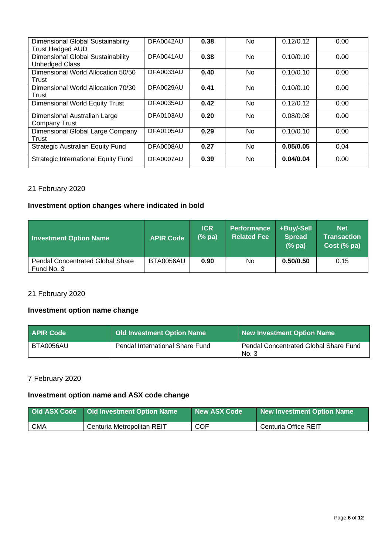| Dimensional Global Sustainability<br><b>Trust Hedged AUD</b> | DFA0042AU | 0.38 | No.            | 0.12/0.12 | 0.00 |
|--------------------------------------------------------------|-----------|------|----------------|-----------|------|
| Dimensional Global Sustainability<br>Unhedged Class          | DFA0041AU | 0.38 | No.            | 0.10/0.10 | 0.00 |
| Dimensional World Allocation 50/50<br>Trust                  | DFA0033AU | 0.40 | No.            | 0.10/0.10 | 0.00 |
| Dimensional World Allocation 70/30<br>Trust                  | DFA0029AU | 0.41 | No.            | 0.10/0.10 | 0.00 |
| <b>Dimensional World Equity Trust</b>                        | DFA0035AU | 0.42 | N <sub>o</sub> | 0.12/0.12 | 0.00 |
| Dimensional Australian Large<br>Company Trust                | DFA0103AU | 0.20 | No.            | 0.08/0.08 | 0.00 |
| Dimensional Global Large Company<br>Trust                    | DFA0105AU | 0.29 | No.            | 0.10/0.10 | 0.00 |
| Strategic Australian Equity Fund                             | DFA0008AU | 0.27 | No.            | 0.05/0.05 | 0.04 |
| <b>Strategic International Equity Fund</b>                   | DFA0007AU | 0.39 | No.            | 0.04/0.04 | 0.00 |

# 21 February 2020

### **Investment option changes where indicated in bold**

| <b>Investment Option Name</b>                         | <b>APIR Code</b> | <b>ICR</b><br>(%pa) | <b>Performance</b><br><b>Related Fee</b> | +Buy/-Sell<br><b>Spread</b><br>(%pa) | <b>Net</b><br><b>Transaction</b><br>Cost (% pa) |
|-------------------------------------------------------|------------------|---------------------|------------------------------------------|--------------------------------------|-------------------------------------------------|
| <b>Pendal Concentrated Global Share</b><br>Fund No. 3 | BTA0056AU        | 0.90                | No.                                      | 0.50/0.50                            | 0.15                                            |

# 21 February 2020

## **Investment option name change**

| <b>APIR Code</b> | <b>Old Investment Option Name</b> | New Investment Option Name                     |
|------------------|-----------------------------------|------------------------------------------------|
| BTA0056AU        | Pendal International Share Fund   | Pendal Concentrated Global Share Fund<br>No. 3 |

# 7 February 2020

# **Investment option name and ASX code change**

| <b>Old ASX Code</b> | <b>Old Investment Option Name</b> | New ASX Code | New Investment Option Name |
|---------------------|-----------------------------------|--------------|----------------------------|
| <b>CMA</b>          | Centuria Metropolitan REIT        | <b>COF</b>   | Centuria Office REIT       |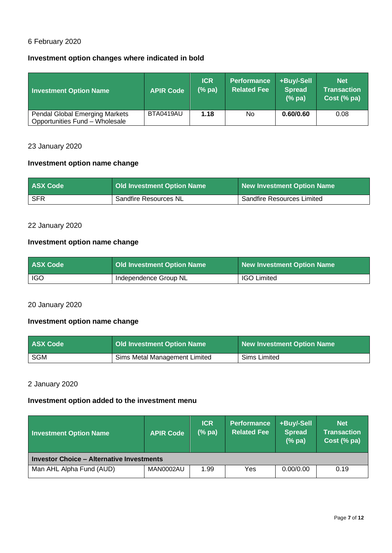# 6 February 2020

### **Investment option changes where indicated in bold**

| <b>Investment Option Name</b>                                           | <b>APIR Code</b> | <b>ICR</b><br>$(%$ pa) | <b>Performance</b><br><b>Related Fee</b> | +Buy/-Sell<br><b>Spread</b><br>(%pa) | <b>Net</b><br>Transaction<br>Cost (% pa) |
|-------------------------------------------------------------------------|------------------|------------------------|------------------------------------------|--------------------------------------|------------------------------------------|
| <b>Pendal Global Emerging Markets</b><br>Opportunities Fund - Wholesale | BTA0419AU        | 1.18                   | No                                       | 0.60/0.60                            | 0.08                                     |

### 23 January 2020

# **Investment option name change**

| <b>ASX Code</b> | Old Investment Option Name | New Investment Option Name        |
|-----------------|----------------------------|-----------------------------------|
| SFR             | Sandfire Resources NL      | <b>Sandfire Resources Limited</b> |

### 22 January 2020

# **Investment option name change**

| <b>ASX Code</b> | <b>Old Investment Option Name</b> | New Investment Option Name |
|-----------------|-----------------------------------|----------------------------|
| <b>IGO</b>      | Independence Group NL             | <b>IGO Limited</b>         |

#### 20 January 2020

# **Investment option name change**

| <b>ASX Code</b> | Old Investment Option Name    | New Investment Option Name |
|-----------------|-------------------------------|----------------------------|
| <b>SGM</b>      | Sims Metal Management Limited | Sims Limited               |

#### 2 January 2020

### **Investment option added to the investment menu**

| <b>Investment Option Name</b>                    | <b>APIR Code</b> | <b>ICR</b><br>(% pa) | Performance<br><b>Related Fee</b> | +Buy/-Sell<br><b>Spread</b><br>(%pa) | <b>Net</b><br><b>Transaction</b><br>Cost (% pa) |
|--------------------------------------------------|------------------|----------------------|-----------------------------------|--------------------------------------|-------------------------------------------------|
| <b>Investor Choice – Alternative Investments</b> |                  |                      |                                   |                                      |                                                 |
| Man AHL Alpha Fund (AUD)                         | MAN0002AU        | 1.99                 | Yes                               | 0.00/0.00                            | 0.19                                            |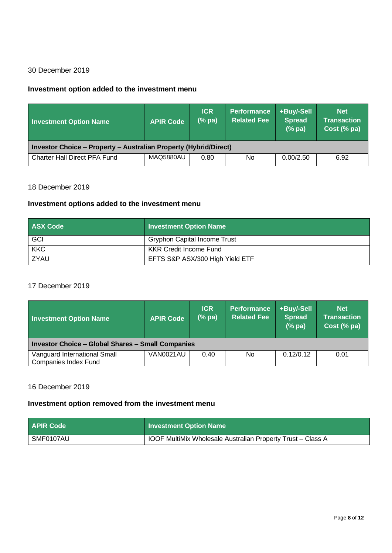# 30 December 2019

#### **Investment option added to the investment menu**

| <b>Investment Option Name</b>                                    | <b>APIR Code</b> | <b>ICR</b><br>$(%$ pa) | <b>Performance</b><br><b>Related Fee</b> | +Buy/-Sell<br><b>Spread</b><br>(%pa) | <b>Net</b><br><b>Transaction</b><br>Cost (% pa) |
|------------------------------------------------------------------|------------------|------------------------|------------------------------------------|--------------------------------------|-------------------------------------------------|
| Investor Choice - Property - Australian Property (Hybrid/Direct) |                  |                        |                                          |                                      |                                                 |
| <b>Charter Hall Direct PFA Fund</b>                              | MAQ5880AU        | 0.80                   | <b>No</b>                                | 0.00/2.50                            | 6.92                                            |

### 18 December 2019

#### **Investment options added to the investment menu**

| <b>ASX Code</b> | <b>Investment Option Name</b>       |
|-----------------|-------------------------------------|
| GCI             | <b>Gryphon Capital Income Trust</b> |
| <b>KKC</b>      | <b>KKR Credit Income Fund</b>       |
| ZYAU            | EFTS S&P ASX/300 High Yield ETF     |

## 17 December 2019

| <b>Investment Option Name</b>                               | <b>APIR Code</b> | <b>ICR</b><br>$(% \mathbf{a})$ $($ % pa) | <b>Performance</b><br><b>Related Fee</b> | +Buy/-Sell<br><b>Spread</b><br>$(%$ pa) | <b>Net</b><br><b>Transaction</b><br>Cost (% pa) |
|-------------------------------------------------------------|------------------|------------------------------------------|------------------------------------------|-----------------------------------------|-------------------------------------------------|
| <b>Investor Choice - Global Shares - Small Companies</b>    |                  |                                          |                                          |                                         |                                                 |
| Vanguard International Small<br><b>Companies Index Fund</b> | VAN0021AU        | 0.40                                     | No                                       | 0.12/0.12                               | 0.01                                            |

### 16 December 2019

#### **Investment option removed from the investment menu**

| <b>APIR Code</b> | Investment Option Name                                             |
|------------------|--------------------------------------------------------------------|
| SMF0107AU        | <b>IOOF MultiMix Wholesale Australian Property Trust – Class A</b> |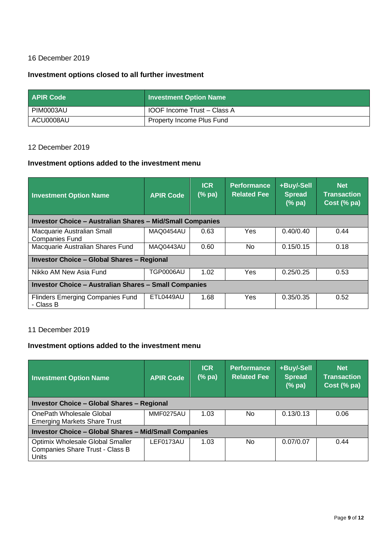# 16 December 2019

#### **Investment options closed to all further investment**

| <b>APIR Code</b> | <b>Investment Option Name</b>            |
|------------------|------------------------------------------|
| PIM0003AU        | <sup>1</sup> IOOF Income Trust - Class A |
| ACU0008AU        | <b>Property Income Plus Fund</b>         |

#### 12 December 2019

# **Investment options added to the investment menu**

| <b>Investment Option Name</b>                                    | <b>APIR Code</b> | <b>ICR</b><br>$(%$ pa) | <b>Performance</b><br><b>Related Fee</b> | +Buy/-Sell<br><b>Spread</b><br>(%pa) | <b>Net</b><br><b>Transaction</b><br>Cost (% pa) |
|------------------------------------------------------------------|------------------|------------------------|------------------------------------------|--------------------------------------|-------------------------------------------------|
| <b>Investor Choice - Australian Shares - Mid/Small Companies</b> |                  |                        |                                          |                                      |                                                 |
| Macquarie Australian Small<br><b>Companies Fund</b>              | MAQ0454AU        | 0.63                   | Yes                                      | 0.40/0.40                            | 0.44                                            |
| Macquarie Australian Shares Fund                                 | MAQ0443AU        | 0.60                   | No.                                      | 0.15/0.15                            | 0.18                                            |
| <b>Investor Choice - Global Shares - Regional</b>                |                  |                        |                                          |                                      |                                                 |
| Nikko AM New Asia Fund                                           | <b>TGP0006AU</b> | 1.02                   | Yes                                      | 0.25/0.25                            | 0.53                                            |
| <b>Investor Choice - Australian Shares - Small Companies</b>     |                  |                        |                                          |                                      |                                                 |
| <b>Flinders Emerging Companies Fund</b><br>- Class B             | <b>ETL0449AU</b> | 1.68                   | Yes                                      | 0.35/0.35                            | 0.52                                            |

### 11 December 2019

## **Investment options added to the investment menu**

| <b>Investment Option Name</b>                                                | <b>APIR Code</b> | <b>ICR</b><br>(% pa) | <b>Performance</b><br><b>Related Fee</b> | +Buy/-Sell<br>Spread<br>$(% \mathbf{a})$ $(%$ pa) | <b>Net</b><br><b>Transaction</b><br>Cost (% pa) |
|------------------------------------------------------------------------------|------------------|----------------------|------------------------------------------|---------------------------------------------------|-------------------------------------------------|
| <b>Investor Choice - Global Shares - Regional</b>                            |                  |                      |                                          |                                                   |                                                 |
| OnePath Wholesale Global<br><b>Emerging Markets Share Trust</b>              | MMF0275AU        | 1.03                 | No.                                      | 0.13/0.13                                         | 0.06                                            |
| <b>Investor Choice - Global Shares - Mid/Small Companies</b>                 |                  |                      |                                          |                                                   |                                                 |
| Optimix Wholesale Global Smaller<br>Companies Share Trust - Class B<br>Units | LEF0173AU        | 1.03                 | N <sub>o</sub>                           | 0.07/0.07                                         | 0.44                                            |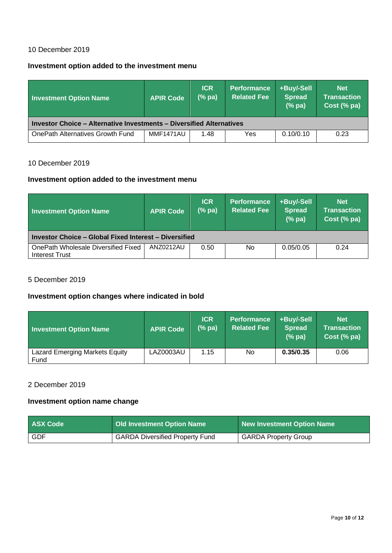### 10 December 2019

## **Investment option added to the investment menu**

| <b>Investment Option Name</b>                                               | <b>APIR Code</b> | <b>ICR</b><br>$(%$ pa) | <b>Performance</b><br><b>Related Fee</b> | +Buy/-Sell<br><b>Spread</b><br>$(%$ $\mathbf{p}$ $\mathbf{a})$ | <b>Net</b><br><b>Transaction</b><br>Cost (% pa) |  |
|-----------------------------------------------------------------------------|------------------|------------------------|------------------------------------------|----------------------------------------------------------------|-------------------------------------------------|--|
| <b>Investor Choice - Alternative Investments - Diversified Alternatives</b> |                  |                        |                                          |                                                                |                                                 |  |
| OnePath Alternatives Growth Fund                                            | MMF1471AU        | 1.48                   | Yes                                      | 0.10/0.10                                                      | 0.23                                            |  |

### 10 December 2019

#### **Investment option added to the investment menu**

| <b>Investment Option Name</b>                         | <b>APIR Code</b> | <b>ICR</b><br>$(%$ pa) | <b>Performance</b><br><b>Related Fee</b> | +Buy/-Sell<br><b>Spread</b><br>(%pa) | <b>Net</b><br><b>Transaction</b><br>Cost (% pa) |
|-------------------------------------------------------|------------------|------------------------|------------------------------------------|--------------------------------------|-------------------------------------------------|
| Investor Choice - Global Fixed Interest - Diversified |                  |                        |                                          |                                      |                                                 |
| OnePath Wholesale Diversified Fixed<br>Interest Trust | ANZ0212AU        | 0.50                   | <b>No</b>                                | 0.05/0.05                            | 0.24                                            |

### 5 December 2019

# **Investment option changes where indicated in bold**

| Investment Option Name                        | <b>APIR Code</b> | <b>ICR</b><br>(%pa) | <b>Performance</b><br><b>Related Fee</b> | +Buy/-Sell<br><b>Spread</b><br>$(%$ pa) | <b>Net</b><br><b>Transaction</b><br>Cost (% pa) |
|-----------------------------------------------|------------------|---------------------|------------------------------------------|-----------------------------------------|-------------------------------------------------|
| <b>Lazard Emerging Markets Equity</b><br>Fund | LAZ0003AU        | 1.15                | No                                       | 0.35/0.35                               | 0.06                                            |

### 2 December 2019

## **Investment option name change**

| <b>ASX Code</b> | <b>Old Investment Option Name</b>      | New Investment Option Name  |
|-----------------|----------------------------------------|-----------------------------|
| GDF             | <b>GARDA Diversified Property Fund</b> | <b>GARDA Property Group</b> |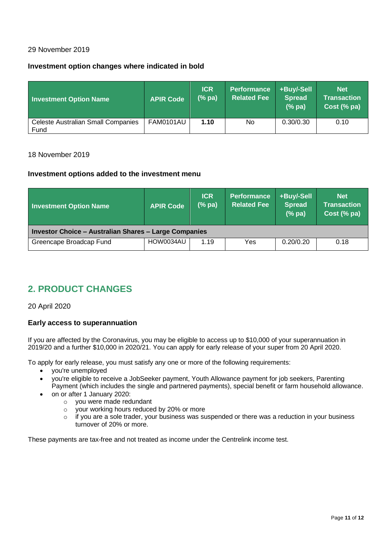#### 29 November 2019

### **Investment option changes where indicated in bold**

| <b>Investment Option Name</b>                     | <b>APIR Code</b> | <b>ICR</b><br>$(%$ pa) | <b>Performance</b><br><b>Related Fee</b> | +Buy/-Sell<br><b>Spread</b><br>$(%$ pa) | <b>Net</b><br><b>Transaction</b><br>Cost (% pa) |
|---------------------------------------------------|------------------|------------------------|------------------------------------------|-----------------------------------------|-------------------------------------------------|
| <b>Celeste Australian Small Companies</b><br>Fund | FAM0101AU        | 1.10                   | <b>No</b>                                | 0.30/0.30                               | 0.10                                            |

#### 18 November 2019

#### **Investment options added to the investment menu**

| <b>Investment Option Name</b>                         | <b>APIR Code</b> | <b>ICR</b><br>$(%$ pa) | <b>Performance</b><br>Related Fee <sup>1</sup> | +Buy/-Sell<br><b>Spread</b><br>(%pa) | <b>Net</b><br><b>Transaction</b><br>Cost (% pa) |  |
|-------------------------------------------------------|------------------|------------------------|------------------------------------------------|--------------------------------------|-------------------------------------------------|--|
| Investor Choice - Australian Shares - Large Companies |                  |                        |                                                |                                      |                                                 |  |
| Greencape Broadcap Fund                               | HOW0034AU        | 1.19                   | Yes                                            | 0.20/0.20                            | 0.18                                            |  |

# **2. PRODUCT CHANGES**

20 April 2020

#### **Early access to superannuation**

If you are affected by the Coronavirus, you may be eligible to access up to \$10,000 of your superannuation in 2019/20 and a further \$10,000 in 2020/21. You can apply for early release of your super from 20 April 2020.

To apply for early release, you must satisfy any one or more of the following requirements:

- you're unemployed
- you're eligible to receive a JobSeeker payment, Youth Allowance payment for job seekers, Parenting Payment (which includes the single and partnered payments), special benefit or farm household allowance.
- on or after 1 January 2020:
	- o you were made redundant
	- o your working hours reduced by 20% or more
	- o if you are a sole trader, your business was suspended or there was a reduction in your business turnover of 20% or more.

These payments are tax-free and not treated as income under the Centrelink income test.